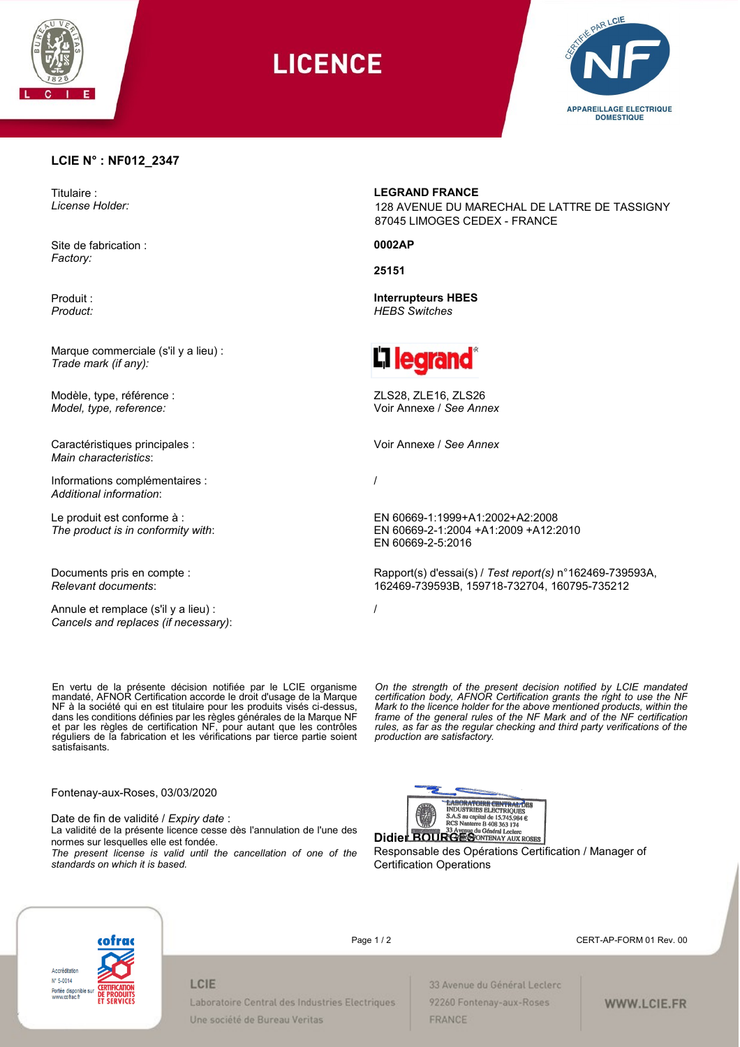

# LICENCE



#### **LCIE N° : NF012\_2347**

Titulaire : *License Holder:*

Site de fabrication : *Factory:*

Produit : *Product:*

Marque commerciale (s'il y a lieu) : *Trade mark (if any):*

Modèle, type, référence : *Model, type, reference:*

Caractéristiques principales : *Main characteristics*:

Informations complémentaires : *Additional information*:

Le produit est conforme à : *The product is in conformity with*:

Documents pris en compte : *Relevant documents*:

Annule et remplace (s'il y a lieu) : *Cancels and replaces (if necessary)*:

En vertu de la présente décision notifiée par le LCIE organisme mandaté, AFNOR Certification accorde le droit d'usage de la Marque NF à la société qui en est titulaire pour les produits visés ci-dessus, dans les conditions définies par les règles générales de la Marque NF et par les règles de certification NF, pour autant que les contrôles réguliers de la fabrication et les vérifications par tierce partie soient satisfaisants.

Fontenay-aux-Roses, 03/03/2020

Date de fin de validité / *Expiry date* :

La validité de la présente licence cesse dès l'annulation de l'une des normes sur lesquelles elle est fondée.

*The present license is valid until the cancellation of one of the standards on which it is based.*

**LEGRAND FRANCE**

128 AVENUE DU MARECHAL DE LATTRE DE TASSIGNY 87045 LIMOGES CEDEX - FRANCE

**0002AP**

**25151**

**Interrupteurs HBES** *HEBS Switches*



ZLS28, ZLE16, ZLS26 Voir Annexe / *See Annex*

Voir Annexe / *See Annex*

/

/

EN 60669-1:1999+A1:2002+A2:2008 EN 60669-2-1:2004 +A1:2009 +A12:2010 EN 60669-2-5:2016

Rapport(s) d'essai(s) / *Test report(s)* n°162469-739593A, 162469-739593B, 159718-732704, 160795-735212

*On the strength of the present decision notified by LCIE mandated certification body, AFNOR Certification grants the right to use the NF Mark to the licence holder for the above mentioned products, within the frame of the general rules of the NF Mark and of the NF certification rules, as far as the regular checking and third party verifications of the production are satisfactory.* 



Responsable des Opérations Certification / Manager of Certification Operations



Page 1 / 2 CERT-AP-FORM 01 Rev. 00

LCIE Laboratoire Central des Industries Electriques Une société de Bureau Veritas

33 Avenue du Général Leclerc 92260 Fontenay-aux-Roses FRANCE

WWW.LCIE.FR